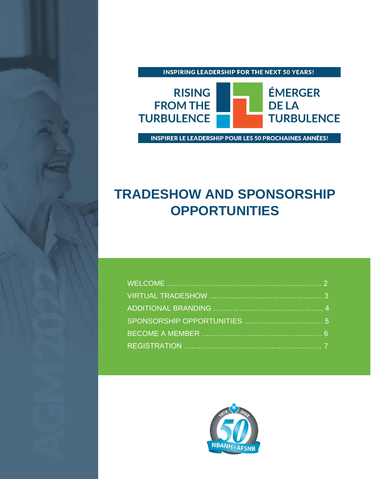



INSPIRER LE LEADERSHIP POUR LES 50 PROCHAINES ANNÉES!

# **TRADESHOW AND SPONSORSHIP OPPORTUNITIES**



TRADESHOW AND SPONSORSHIP OPPORTUNITIES 1999 AND SPONSORSHIP OPPORTUNITIES 1999 AND SPONSORSHIP OPPORTUNITIES 1999 AND SPONSORSHIP OPPORTUNITIES 1999 AND SPONSORSHIP OPPORTUNITIES 1999 AND SPONSORSHIP OPPORTUNITIES 1999 AN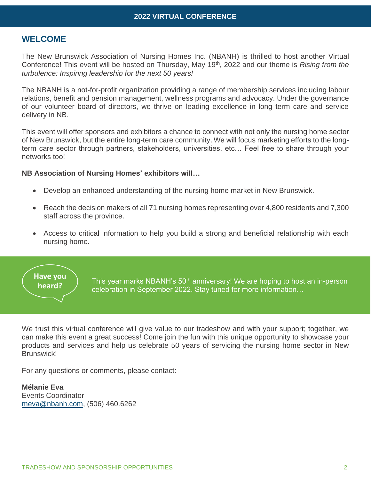## **WELCOME**

The New Brunswick Association of Nursing Homes Inc. (NBANH) is thrilled to host another Virtual Conference! This event will be hosted on Thursday, May 19th, 2022 and our theme is *Rising from the turbulence: Inspiring leadership for the next 50 years!*

The NBANH is a not-for-profit organization providing a range of membership services including labour relations, benefit and pension management, wellness programs and advocacy. Under the governance of our volunteer board of directors, we thrive on leading excellence in long term care and service delivery in NB.

This event will offer sponsors and exhibitors a chance to connect with not only the nursing home sector of New Brunswick, but the entire long-term care community. We will focus marketing efforts to the longterm care sector through partners, stakeholders, universities, etc… Feel free to share through your networks too!

#### **NB Association of Nursing Homes' exhibitors will…**

- Develop an enhanced understanding of the nursing home market in New Brunswick.
- Reach the decision makers of all 71 nursing homes representing over 4,800 residents and 7,300 staff across the province.
- Access to critical information to help you build a strong and beneficial relationship with each nursing home.



This year marks NBANH's 50<sup>th</sup> anniversary! We are hoping to host an in-person celebration in September 2022. Stay tuned for more information…

We trust this virtual conference will give value to our tradeshow and with your support; together, we can make this event a great success! Come join the fun with this unique opportunity to showcase your products and services and help us celebrate 50 years of servicing the nursing home sector in New Brunswick!

For any questions or comments, please contact:

**Mélanie Eva** Events Coordinator [meva@nbanh.com,](mailto:meva@nbanh.com) (506) 460.6262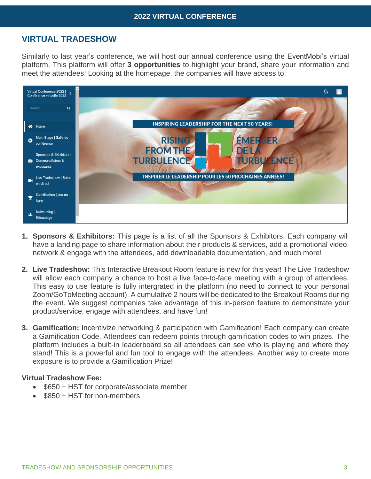## **2022 VIRTUAL CONFERENCE**

# **VIRTUAL TRADESHOW**

Similarly to last year's conference, we will host our annual conference using the EventMobi's virtual platform. This platform will offer **3 opportunities** to highlight your brand, share your information and meet the attendees! Looking at the homepage, the companies will have access to:



- **1. Sponsors & Exhibitors:** This page is a list of all the Sponsors & Exhibitors. Each company will have a landing page to share information about their products & services, add a promotional video, network & engage with the attendees, add downloadable documentation, and much more!
- **2. Live Tradeshow:** This Interactive Breakout Room feature is new for this year! The Live Tradeshow will allow each company a chance to host a live face-to-face meeting with a group of attendees. This easy to use feature is fully intergrated in the platform (no need to connect to your personal Zoom/GoToMeeting account). A cumulative 2 hours will be dedicated to the Breakout Rooms during the event. We suggest companies take advantage of this in-person feature to demonstrate your product/service, engage with attendees, and have fun!
- **3. Gamification:** Incentivize networking & participation with Gamification! Each company can create a Gamification Code. Attendees can redeem points through gamification codes to win prizes. The platform includes a built-in leaderboard so all attendees can see who is playing and where they stand! This is a powerful and fun tool to engage with the attendees. Another way to create more exposure is to provide a Gamification Prize!

#### **Virtual Tradeshow Fee:**

- \$650 + HST for corporate/associate member
- \$850 + HST for non-members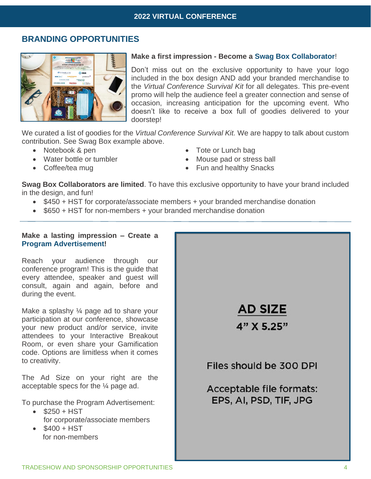# **BRANDING OPPORTUNITIES**



#### **Make a first impression - Become a Swag Box Collaborator**!

Don't miss out on the exclusive opportunity to have your logo included in the box design AND add your branded merchandise to the *Virtual Conference Survival Kit* for all delegates. This pre-event promo will help the audience feel a greater connection and sense of occasion, increasing anticipation for the upcoming event. Who doesn't like to receive a box full of goodies delivered to your doorstep!

We curated a list of goodies for the *Virtual Conference Survival Kit.* We are happy to talk about custom contribution. See Swag Box example above.

- Notebook & pen
- Water bottle or tumbler
- Coffee/tea mug
- Tote or Lunch bag
- Mouse pad or stress ball
- Fun and healthy Snacks

**Swag Box Collaborators are limited**. To have this exclusive opportunity to have your brand included in the design, and fun!

- \$450 + HST for corporate/associate members + your branded merchandise donation
- \$650 + HST for non-members + your branded merchandise donation

#### **Make a lasting impression – Create a Program Advertisement!**

Reach your audience through our conference program! This is the guide that every attendee, speaker and guest will consult, again and again, before and during the event.

Make a splashy ¼ page ad to share your participation at our conference, showcase your new product and/or service, invite attendees to your Interactive Breakout Room, or even share your Gamification code. Options are limitless when it comes to creativity.

The Ad Size on your right are the acceptable specs for the ¼ page ad.

To purchase the Program Advertisement:

- $\bullet$  \$250 + HST for corporate/associate members
- $$400 + HST$ for non-members

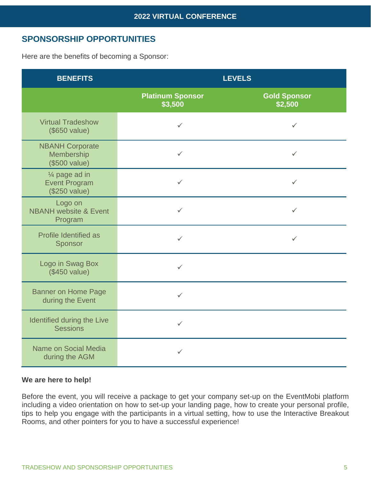# **SPONSORSHIP OPPORTUNITIES**

Here are the benefits of becoming a Sponsor:

| <b>BENEFITS</b>                                                     | <b>LEVELS</b>                      |                                |  |
|---------------------------------------------------------------------|------------------------------------|--------------------------------|--|
|                                                                     | <b>Platinum Sponsor</b><br>\$3,500 | <b>Gold Sponsor</b><br>\$2,500 |  |
| <b>Virtual Tradeshow</b><br>(\$650 value)                           | $\checkmark$                       | $\checkmark$                   |  |
| <b>NBANH Corporate</b><br>Membership<br>(\$500 value)               | $\checkmark$                       | ✓                              |  |
| 1/ <sub>4</sub> page ad in<br><b>Event Program</b><br>(\$250 value) | $\checkmark$                       | $\checkmark$                   |  |
| Logo on<br><b>NBANH</b> website & Event<br>Program                  | $\checkmark$                       | ✓                              |  |
| <b>Profile Identified as</b><br>Sponsor                             | $\checkmark$                       | $\checkmark$                   |  |
| Logo in Swag Box<br>(\$450 value)                                   | $\checkmark$                       |                                |  |
| <b>Banner on Home Page</b><br>during the Event                      | $\checkmark$                       |                                |  |
| Identified during the Live<br><b>Sessions</b>                       | $\checkmark$                       |                                |  |
| Name on Social Media<br>during the AGM                              | $\checkmark$                       |                                |  |

## **We are here to help!**

Before the event, you will receive a package to get your company set-up on the EventMobi platform including a video orientation on how to set-up your landing page, how to create your personal profile, tips to help you engage with the participants in a virtual setting, how to use the Interactive Breakout Rooms, and other pointers for you to have a successful experience!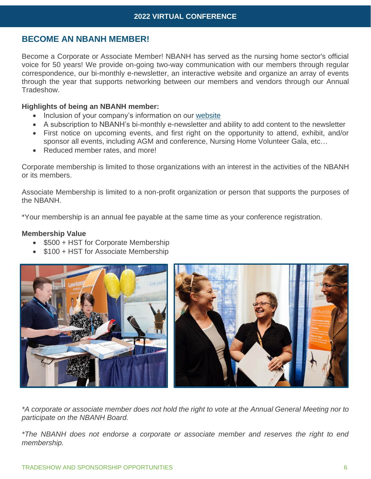# **BECOME AN NBANH MEMBER!**

Become a Corporate or Associate Member! NBANH has served as the nursing home sector's official voice for 50 years! We provide on-going two-way communication with our members through regular correspondence, our bi-monthly e-newsletter, an interactive website and organize an array of events through the year that supports networking between our members and vendors through our Annual Tradeshow.

#### **Highlights of being an NBANH member:**

- Inclusion of your company's information on our [website](http://www.nbanh.com/)
- A subscription to NBANH's bi-monthly e-newsletter and ability to add content to the newsletter
- First notice on upcoming events, and first right on the opportunity to attend, exhibit, and/or sponsor all events, including AGM and conference, Nursing Home Volunteer Gala, etc…
- Reduced member rates, and more!

Corporate membership is limited to those organizations with an interest in the activities of the NBANH or its members.

Associate Membership is limited to a non-profit organization or person that supports the purposes of the NBANH.

\*Your membership is an annual fee payable at the same time as your conference registration.

#### **Membership Value**

- \$500 + HST for Corporate Membership
- \$100 + HST for Associate Membership



*\*A corporate or associate member does not hold the right to vote at the Annual General Meeting nor to participate on the NBANH Board.*

*\*The NBANH does not endorse a corporate or associate member and reserves the right to end membership.*